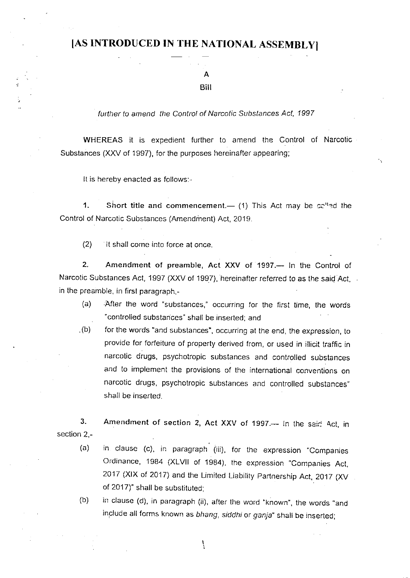## [AS INTRODUCED IN THE NATIONAL ASSEMBLY]

 $\mathbf{A}$ 

#### Bill

further to amend the Control of Narcotic Substances Act, 1997

WHEREAS it is expedient further to amend the Control of Narcotic Substances (XXV of 1997), for the purposes hereinafter appearing;

It is hereby enacted as follows:-

 $1.$ Short title and commencement.— (1) This Act may be  $cc<sup>n</sup>$  at the Control of Narcotic Substances (Amendment) Act, 2019.

 $(2)$ It shall come into force at once.

 $2.$ Amendment of preamble, Act XXV of 1997.- In the Control of Narcotic Substances Act, 1997 (XXV of 1997), hereinafter referred to as the said Act, in the preamble, in first paragraph,-

- After the word "substances," occurring for the first time, the words  $(a)$ "controlled substances" shall be inserted; and
- $(b)$ . for the words "and substances", occurring at the end, the expression, to provide for forfeiture of property derived from, or used in illicit traffic in narcotic drugs, psychotropic substances and controlled substances and to implement the provisions of the international conventions on narcotic drugs, psychotropic substances and controlled substances" shall be inserted.

3. Amendment of section 2, Act XXV of 1997.- In the said Act, in section 2,-

- in clause (c), in paragraph (iii), for the expression "Companies  $(a)$ Ordinance, 1984 (XLVII of 1984), the expression "Companies Act, 2017 (XIX of 2017) and the Limited Liability Partnership Act, 2017 (XV of 2017)" shall be substituted:
- $(b)$ in clause (d), in paragraph (ii), after the word "known", the words "and include all forms known as bhang, siddhi or ganja" shall be inserted;

 $\mathcal{L}$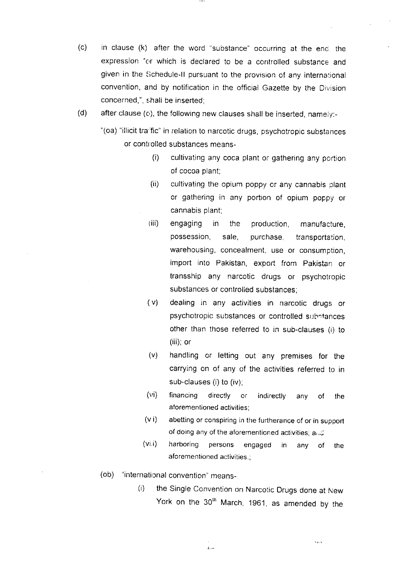- (c) in clause (k) after the word "substance" occurring at the end the expression "or which is declared to be a controlled substance and given in the Schedule-II pursuant to the provision of any international convention, and by notification in the official Gazette by the Division concerned,", shall be inserted;
- (d) after clause (c), the following new clauses shalt be inserted, namely:-
	- "(oa) "illicit traffic" in relation to narcotic drugs, psychotropic substances or controlled substances means-
		- (i) cultivating any coca plant or gathering any portion of cocoa plant;
		- $(ii)$  cultivating the opium poppy or any cannabis plant or gathering in any portion of opium poppy or cannabis plant;
		- (iii) engaging in the production, manufacture, possession, sale, purchase, transportation, warehousing, concealment, use or consumption, import into Pakistan, export from Pakistan or transship any narcotic drugs or psychotropic substances or controlled substances;
		- ( v) dealing in any activlties in narcotic drugs or psychotropic substances or controlled substances other than those referred to in sub-clauses (i) to (iii); or
		- (v) handling or letting out any premises for the carrying on of any of the activities referred to in sub-clauses (i) to (iv),
		- (vi) financing directly or indirectly any of the aforementioned activities:
		- (v i) abetting or conspiring in the furtherance of or in supporl of doing any of the aforementioned activities; and
		- (vi i) harboring persons engaged in any of the aforementioned activities.
	- (ob) "international convention" means-
		- (i) the Single Convention on Narcotic Drugs done at New York on the 30<sup>th</sup> March, 1961, as amended by the

.<br>. . .

 $\iota$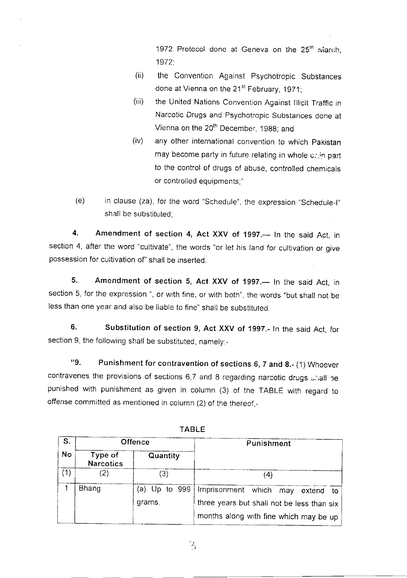1972 Protocol done at Geneva on the 25<sup>th</sup> :viarch, 1972.

- (ii) the Convention Against Psychotropic Substances done at Vienna on the 21<sup>st</sup> February, 1971;
- (iii) the United Nations Convention Against Illicit Traffic in Narcotic Drugs and Psychotropic Substances done at Vienna on the 20<sup>th</sup> December, 1988; and
- (iv) any other international convention to which pakistan may become party in future relating in whole c, in part to the control of drugs of abuse, controlled chemicals or controlled equipments,"
- (e) in clause (za), for the word "Schedule", the expression "Schedule-I" shall be substituted:

4. Amendment of section 4, Act XXV of 1997.- In the said Act, in section 4, after the word "cultivate", the words "or let his land for cultivation or give possession for cultivation of" shall be inserted.

5. Amendment of section 5, Act XXV of 1997.— In the said Act, in section 5, for the expression ", or with fine, or with both", the words "but shall not be less than one year and also be liable to fine" shall be substituted.

6. Substitution of section 9, Act XXV of 1997.- ln the said Act, for section 9, the following shall be substituted, namely:-

"9. Punishment for contravention of sections  $6, 7$  and  $8.$ - (1) Whoever contravenes the provisions of sections 6,7 and 8 regarding narcotic drugs unall be punished with punishment as given in colurnn (3) of the TABLE with regard to offense committed as mentioned in column (2) of the thereof,-

| S.        | Offence                     |               | Punishment                                 |
|-----------|-----------------------------|---------------|--------------------------------------------|
| <b>No</b> | Type of<br><b>Narcotics</b> | Quantity      |                                            |
| (1)       | $\left 2\right\rangle$      | 3)            | (4)                                        |
|           | Bhang                       | (a) Up to 999 | Imprisonment which<br>may<br>extend<br>to. |
|           |                             | grams.        | three years but shall not be less than six |
|           |                             |               | months along with fine which may be up     |

TABLE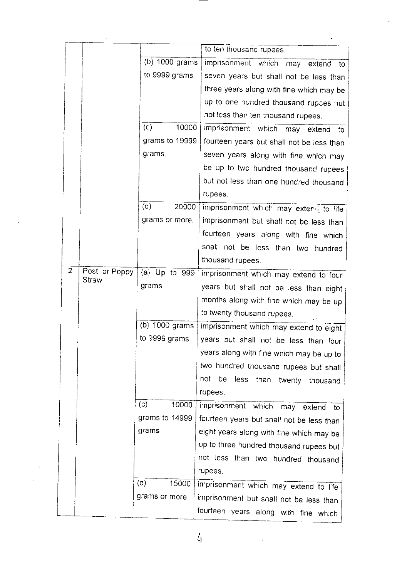|   |               |                         | to ten thousand rupees.                      |
|---|---------------|-------------------------|----------------------------------------------|
|   |               | $(b)$ 1000 grams        | imprisonment which may extend to             |
|   |               | to 9999 grams           | seven years but shall not be less than       |
|   |               |                         |                                              |
|   |               |                         | three years along with fine which may be     |
|   |               |                         | up to one hundred thousand rupces but        |
|   |               |                         | not less than ten thousand rupees.           |
|   |               | $(\mathsf{c})$<br>10000 | imprisonment which may extend<br>to          |
|   |               | grams to 19999          | fourteen years but shall not be less than    |
|   |               | grams.                  | seven years along with fine which may        |
|   |               |                         | be up to two hundred thousand rupees         |
|   |               |                         | but not less than one hundred thousand       |
|   |               |                         | rupees.                                      |
|   |               | $\overline{c}$<br>20000 | imprisonment which may exten i to life       |
|   |               | grams or more.          | imprisonment but shall not be less than      |
|   |               |                         | fourteen years along with fine which         |
|   |               |                         | shall not be less than two hundred           |
|   |               |                         | thousand rupees.                             |
| 2 | Post or Poppy | $(a)$ Up to 999         | imprisonment which may extend to four        |
|   | Straw         | grams                   | years but shall not be less than eight       |
|   |               |                         | months along with fine which may be up       |
|   |               |                         | to twenty thousand rupees.                   |
|   |               | (b) 1000 grams          | imprisonment which may extend to eight       |
|   |               | to 9999 grams           | years but shall not be less than four        |
|   |               |                         | years along with fine which may be up to     |
|   |               |                         | two hundred thousand rupees but shall        |
|   |               |                         | not<br>be<br>less than<br>twenty<br>thousand |
|   |               |                         | rupees.                                      |
|   |               | (c)<br>10000            | imprisonment which may extend<br>to          |
|   |               | grams to 14999          | fourteen years but shall not be less than    |
|   |               | grams                   | eight years along with fine which may be     |
|   |               |                         | up to three hundred thousand rupees but      |
|   |               |                         | not less than two hundred thousand           |
|   |               |                         | rupees.                                      |
|   |               | (d)<br>15000            |                                              |
|   |               | grams or more           | imprisonment which may extend to life        |
|   |               |                         | imprisonment but shall not be less than      |
|   |               |                         | fourteen years along with fine which         |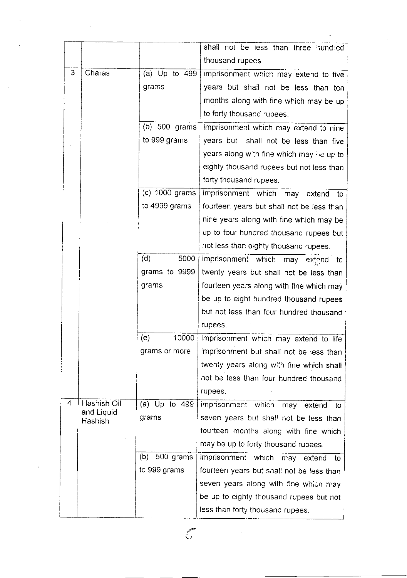|   |                       |                   | shall not be less than three hundred      |
|---|-----------------------|-------------------|-------------------------------------------|
|   |                       |                   | thousand rupees.                          |
| 3 | Charas                | (a) $Up$ to $499$ | imprisonment which may extend to five     |
|   |                       | grams             | years but shall not be less than ten      |
|   |                       |                   | months along with fine which may be up    |
|   |                       |                   | to forty thousand rupees.                 |
|   |                       | $(b)$ 500 grams   | imprisonment which may extend to nine     |
|   |                       | to 999 grams      | years but shall not be less than five     |
|   |                       |                   | years along with fine which may be up to  |
|   |                       |                   | eighty thousand rupees but not less than  |
|   |                       |                   | forty thousand rupees.                    |
|   |                       | $(c)$ 1000 grams  | imprisonment which may extend<br>– to∶    |
|   |                       | to 4999 grams     | fourteen years but shall not be less than |
|   |                       |                   | nine years along with fine which may be   |
|   |                       |                   | up to four hundred thousand rupees but    |
|   |                       |                   | not less than eighty thousand rupees.     |
|   |                       | (d)<br>5000       | imprisonment which may<br>extend.<br>to.  |
|   |                       | grams to 9999     | twenty years but shall not be less than   |
|   |                       | grams             | fourteen years along with fine which may  |
|   |                       |                   | be up to eight hundred thousand rupees    |
|   |                       |                   | but not less than four hundred thousand   |
|   |                       |                   | rupees.                                   |
|   |                       | (e)<br>10000      | imprisonment which may extend to life     |
|   |                       | grams or more     | imprisonment but shall not be less than   |
|   |                       |                   | twenty years along with fine which shall  |
|   |                       |                   | not be less than four hundred thousand    |
|   |                       |                   | rupees.                                   |
| 4 | Hashish Oil           | (a) Up to 499     | imprisonment which may extend to          |
|   | and Liquid<br>Hashish | grams             | seven years but shall not be less than    |
|   |                       |                   | fourteen months along with fine which     |
|   |                       |                   | may be up to forty thousand rupees.       |
|   |                       | 500 grams<br>(b)  | imprisonment which may extend to          |
|   |                       | to 999 grams      | fourteen years but shall not be less than |
|   |                       |                   | seven years along with fine which may     |
|   |                       |                   | be up to eighty thousand rupees but not   |
|   |                       |                   | less than forty thousand rupees.          |
|   |                       |                   |                                           |

 $\mathcal{L}$ 

 $\mathcal{L}^{\text{max}}_{\text{max}}$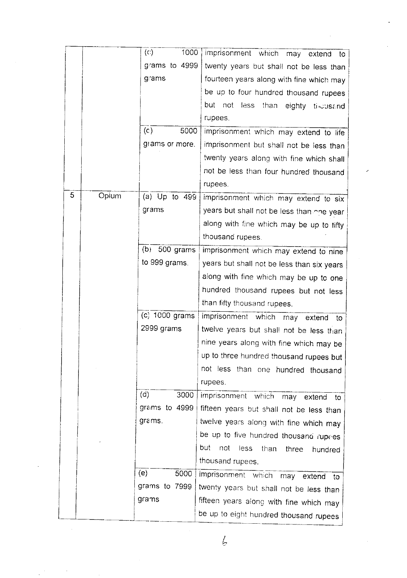|   |       | $\left( c\right)$<br>1000 | imprisonment which may extend to               |
|---|-------|---------------------------|------------------------------------------------|
|   |       | grams to 4999             | twenty years but shall not be less than        |
|   |       | grams                     | fourteen years along with fine which may       |
|   |       |                           | be up to four hundred thousand rupees          |
|   |       |                           | but<br>not<br>less<br>than<br>eighty tilousand |
|   |       |                           | rupees.                                        |
|   |       | (c)<br>5000               | imprisonment which may extend to life          |
|   |       | grams or more.            | imprisonment but shall not be less than        |
|   |       |                           | twenty years along with fine which shall       |
|   |       |                           | not be less than four hundred thousand         |
|   |       |                           | rupees.                                        |
| 5 | Opium | (a) Up to 499             | imprisonment which may extend to six           |
|   |       | grams                     | years but shall not be less than one year.     |
|   |       |                           | along with fine which may be up to fifty       |
|   |       |                           | thousand rupees.                               |
|   |       | (b)<br>500 grams          | imprisonment which may extend to nine          |
|   |       | to 999 grams.             | years but shall not be less than six years     |
|   |       |                           | along with fine which may be up to one         |
|   |       |                           | hundred thousand rupees but not less           |
|   |       |                           | than fifty thousand rupees.                    |
|   |       | (c) 1000 grams            | imprisonment which<br>may<br>extend<br>to      |
|   |       | 2999 grams                | twelve years but shall not be less than        |
|   |       |                           | nine years along with fine which may be        |
|   |       |                           | up to three hundred thousand rupees but        |
|   |       |                           | not less than one hundred thousand             |
|   |       |                           | rupees.                                        |
|   |       | (d)<br>3000               | imprisonment which<br>may extend<br>to         |
|   |       | graims to 4999            | fifteen years but shall not be less than       |
|   |       | grams.                    | twelve years along with fine which may         |
|   |       |                           | be up to five hundred thousand rupees          |
|   |       |                           | but<br>not<br>less<br>than<br>three<br>hundred |
|   |       |                           | thousand rupees.                               |
|   |       | (e)<br>5000               | imprisonment which<br>may<br>extend<br>to      |
|   |       | grams to 7999             | twenty years but shall not be less than        |
|   |       | grams                     | fifteen years along with fine which may        |
|   |       |                           | be up to eight hundred thousand rupees         |

 $\sqrt{2}$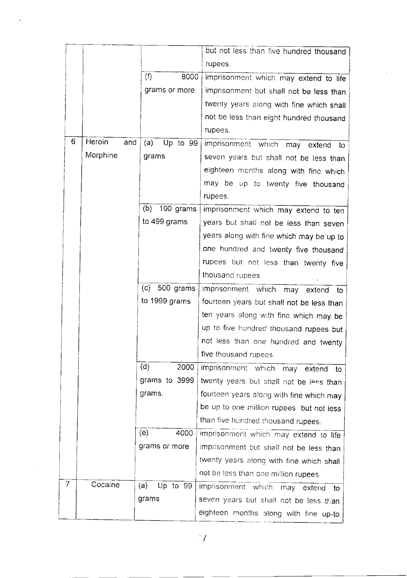|   |          |     |                  | but not less than five hundred thousand     |
|---|----------|-----|------------------|---------------------------------------------|
|   |          |     |                  | rupees.                                     |
|   |          |     | (f)<br>8000      | imprisonment which may extend to life       |
|   |          |     | grams or more    | imprisonment but shall not be less than     |
|   |          |     |                  | twenty years along with fine which shall    |
|   |          |     |                  | not be less than eight hundred thousand     |
|   |          |     |                  | rupees.                                     |
| 6 | Heroin   | and | (a)<br>Up to 99  | imprisonment which may extend to            |
|   | Morphine |     | grams            | seven years but shall not be less than      |
|   |          |     |                  | eighteen months along with fine which       |
|   |          |     |                  | may be up to twenty five thousand           |
|   |          |     |                  | rupees.                                     |
|   |          |     | 100 grams<br>(b) | imprisonment which may extend to ten        |
|   |          |     | to 499 grams     | years but shall not be less than seven      |
|   |          |     |                  | years along with fine which may be up to    |
|   |          |     |                  | one hundred and twenty five thousand        |
|   |          |     |                  | rupees but not less than twenty five        |
|   |          |     |                  | thousand rupees.                            |
|   |          |     | $(c)$ 500 grams  | imprisonment which<br>may extend to         |
|   |          |     | to 1999 grams    | fourteen years but shall not be less than   |
|   |          |     |                  | ten years along with fine which may be      |
|   |          |     |                  | up to five hundred thousand rupees but      |
|   |          |     |                  | not less than one hundred and twenty        |
|   |          |     |                  | five thousand rupees.                       |
|   |          |     | (d)<br>2000      | imprisonment which<br>may -<br>extend<br>to |
|   |          |     | grams to 3999    | twenty years but shall not be less than     |
|   |          |     | grams.           | fourteen years along with fine which may    |
|   |          |     |                  | be up to one million rupees but not less    |
|   |          |     |                  | than five hundred thousand rupees.          |
|   |          |     | (e)<br>4000      | imprisonment which may extend to life       |
|   |          |     | grams or more    | imprisonment but shall not be less than     |
|   |          |     |                  | twenty years along with fine which shall    |
|   |          |     |                  | not be less than one million rupees.        |
| 7 | Cocaine  |     | (a)<br>Up to 99  | imprisonment which<br>may<br>extend<br>to.  |
|   |          |     | grams            | seven years but shall not be less than      |
|   |          |     |                  | eighteen months along with fine up-to       |

 $\hat{\mathcal{A}}$ 

 $\hat{\boldsymbol{\beta}}$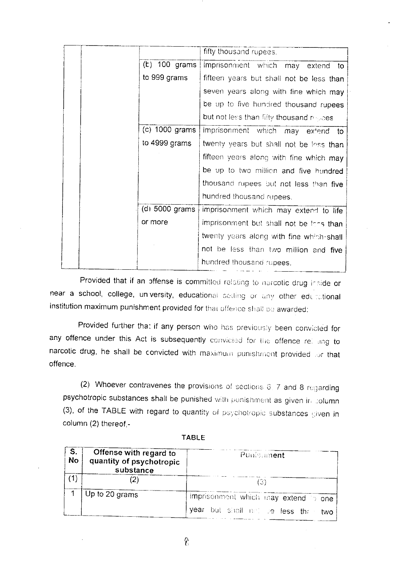|                 | fifty thousand rupees.                   |
|-----------------|------------------------------------------|
|                 |                                          |
| $(t)$ 100 grams | imprisonment which may extend<br>to      |
| to 999 grams    | fifteen years but shall not be less than |
|                 | seven years along with fine which may    |
|                 | be up to five hundred thousand rupees    |
|                 | but not less than fifty thousand myoes.  |
| (c) 1000 grams  | imprisonment which may extend to         |
| to 4999 grams   | twenty years but shall not be loss than  |
|                 | fifteen years along with fine which may  |
|                 | be up to two million and five hundred    |
|                 | thousand rupees but not less than five   |
|                 | hundred thousand rupees.                 |
| (d) 5000 grams  | imprisonment which may extend to life    |
| or more         | imprisonment but shall not be lons than  |
|                 | twenty years along with fine which-shall |
|                 | not be less than two million and five    |
|                 | hundred thousand rupees.                 |

Provided that if an offense is committed relating to narcotic drug inside or near a school, college, university, educational setting or any other educational institution maximum punishment provided for that offence shall be awarded:

Provided further that if any person who has previously been convicted for any offence under this Act is subsequently convicted for the offence relaing to narcotic drug, he shall be convicted with maximum punishment provided or that offence.

(2) Whoever contravenes the provisions of sections 6, 7 and 8 regarding psychotropic substances shall be punished with punishment as given in column (3), of the TABLE with regard to quantity of psychotropic substances given in column (2) thereof.-

|--|--|--|

| S.<br><b>No</b> | Offense with regard to<br>quantity of psychotropic<br>substance | Punisment                                                                      |
|-----------------|-----------------------------------------------------------------|--------------------------------------------------------------------------------|
| (1)             |                                                                 | 31                                                                             |
|                 | Up to 20 grams                                                  | imprisonment which may extend to one<br>year but shall not be less than<br>two |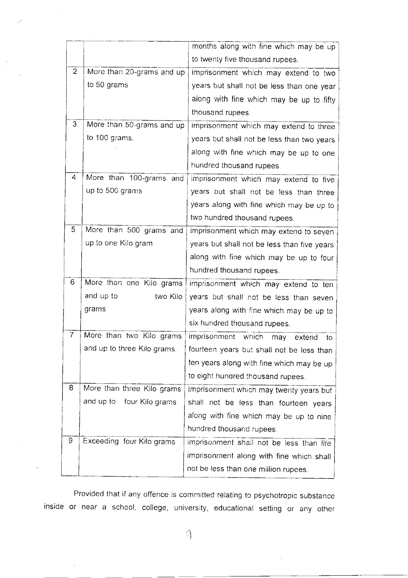|                |                              | months along with fine which may be up      |
|----------------|------------------------------|---------------------------------------------|
|                |                              | to twenty five thousand rupees.             |
| $\overline{2}$ | More than 20-grams and up    | imprisonment which may extend to two        |
|                | to 50 grams                  | years but shall not be less than one year   |
|                |                              | along with fine which may be up to fifty    |
|                |                              | thousand rupees.                            |
| 3              | More than 50-grams and up    | imprisonment which may extend to three      |
|                | to 100 grams.                | years but shall not be less than two years  |
|                |                              | along with fine which may be up to one      |
|                |                              | hundred thousand rupees.                    |
| 4              | More than 100-grams and      | imprisonment which may extend to five       |
|                | up to 500 grams              | years but shall not be less than three      |
|                |                              | years along with fine which may be up to    |
|                |                              | two hundred thousand rupees.                |
| 5              | More than 500 grams and      | imprisonment which may extend to seven      |
|                | up to one Kilo gram          | years but shall not be less than five years |
|                |                              | along with fine which may be up to four     |
|                |                              | hundred thousand rupees.                    |
| 6              | More than one Kilo grams     | imprisonment which may extend to ten        |
|                | and up to<br>two Kilo        | years but shall not be less than seven      |
|                | grams                        | years along with fine which may be up to    |
|                |                              | six hundred thousand rupees.                |
| 7              | More than two Kilo grams     | imprisonment which<br>may<br>extend<br>to   |
|                | and up to three Kilo grams.  | fourteen years but shall not be less than   |
|                |                              | ten years along with fine which may be up   |
|                |                              | to eight hundred thousand rupees.           |
| 8              | More than three Kilo grams   | imprisonment which may twenty years but     |
|                | and up to<br>four Kilo grams | shall not be less than fourteen years       |
|                |                              | along with fine which may be up to nine     |
|                |                              | hundred thousand rupees.                    |
| 9              | Exceeding four Kilo grams    | imprisonment shall not be less than life    |
|                |                              | imprisonment along with fine which shall    |
|                |                              | not be less than one million rupees.        |
|                |                              |                                             |

Provided that if any offence is committed relating to psychotropic substance inside or near a school, coilege, university, educational setting or any other

> $\overline{\phantom{a}}$ I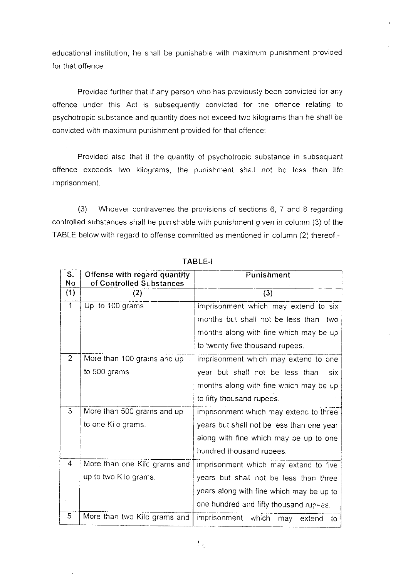educational institution, he shall be punishable with maximum punishment provided for that offence

Provided further that if any person who has previously been convicted for any offence under this Act is subsequently convicted for the offence relating to psychotropic substance and quantity does not exceed two kilograms than he shall be convicted with maximum punishment provided for that offence.

Provided also that if the quantity of psychotropic substance in subsequent offence exceeds two kilograms, the punishment shall not be less than life imprisonment.

(3) Whoever contravenes the prcvisions of sections 6, 7 and 8 regarding controlled substances shall be punishable with punishment given in column (3) of the TABLE below with regard to offense committed as mentioned in column (2) thereof -

| S.<br>No       | Offense with regard quantity<br>of Controlled Substances | Punishment                                |
|----------------|----------------------------------------------------------|-------------------------------------------|
| (1)            | (2)                                                      | (3)                                       |
| $\mathbf{1}$   | Up to 100 grams.                                         | imprisonment which may extend to six      |
|                |                                                          | months but shall not be less than two     |
|                |                                                          | months along with fine which may be up    |
|                |                                                          | to twenty five thousand rupees.           |
| $\overline{2}$ | More than 100 grams and up                               | imprisonment which may extend to one      |
|                | to 500 grams                                             | year but shall not be less than<br>six    |
|                |                                                          | months along with fine which may be up    |
|                |                                                          | to fifty thousand rupees.                 |
| 3              | More than 500 grams and up                               | imprisonment which may extend to three    |
|                | to one Kilo grams.                                       | years but shall not be less than one year |
|                |                                                          | along with fine which may be up to one    |
|                |                                                          | hundred thousand rupees.                  |
| 4              | More than one Kilc grams and                             | imprisonment which may extend to five     |
|                | up to two Kilo grams.                                    | years but shall not be less than three    |
|                |                                                          | years along with fine which may be up to  |
|                |                                                          | one hundred and fifty thousand rup-es.    |
| 5              | More than two Kilo grams and                             | imprisonment which<br>may<br>extend<br>to |

TABLE-I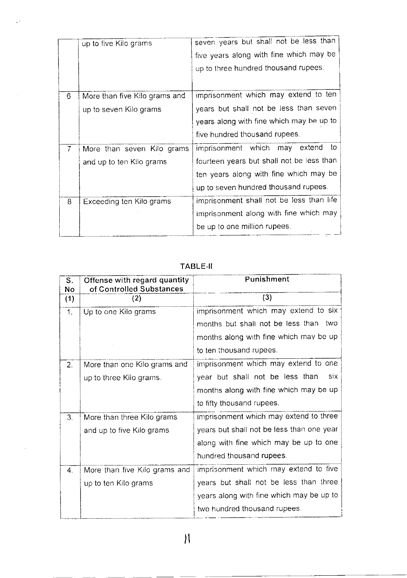|               | up to five Kilo grams         | seven years but shall not be less than    |
|---------------|-------------------------------|-------------------------------------------|
|               |                               | five years along with fine which may be   |
|               |                               | up to three hundred thousand rupees.      |
|               |                               |                                           |
| 6             | More than five Kilo grams and | imprisonment which may extend to ten      |
|               | up to seven Kilo grams        | years but shall not be less than seven    |
|               |                               | years along with fine which may be up to  |
|               |                               | five hundred thousand rupees.             |
| $\mathcal{T}$ | More than seven Kilo grams    | to<br>imprisonment which may extend       |
|               | and up to ten Kilo grams      | fourteen years but shall not be less than |
|               |                               | ten years along with fine which may be    |
|               |                               | up to seven hundred thousand rupees.      |
| 8             | Exceeding ten Kilo grams      | imprisonment shall not be less than life  |
|               |                               | imprisonment along with fine which may    |
|               |                               | be up to one million rupees.              |

 $\sim$ 

 $\mathbb{Z}^2$ 

 $\bar{\bar{z}}$ 

 $\hat{\phi}$ 

 $\mathcal{A}^{\mathcal{A}}$ 

# TABLE-II

| S.<br>No       | Offense with regard quantity<br>of Controlled Substances | Punishment                                |
|----------------|----------------------------------------------------------|-------------------------------------------|
| (1)            | (2)                                                      | (3)                                       |
| 1.             | Up to one Kilo grams                                     | imprisonment which may extend to six      |
|                |                                                          | months but shall not be less than<br>two  |
|                |                                                          | months along with fine which may be up    |
|                |                                                          | to ten thousand rupees.                   |
| 2.             | More than one Kilo grams and                             | imprisonment which may extend to one      |
|                | up to three Kilo grams.                                  | six<br>year but shall not be less than    |
|                |                                                          | months along with fine which may be up    |
|                |                                                          | to fifty thousand rupees.                 |
| 3.             | More than three Kilo grams                               | imprisonment which may extend to three    |
|                | and up to five Kilo grams                                | years but shall not be less than one year |
|                |                                                          | along with fine which may be up to one    |
|                |                                                          | hundred thousand rupees.                  |
| 4 <sup>1</sup> | More than five Kilo grams and                            | imprisonment which may extend to five     |
|                | up to ten Kilo grams                                     | years but shall not be less than three    |
|                |                                                          | years along with fine which may be up to  |
|                |                                                          | two hundred thousand rupees.              |

ll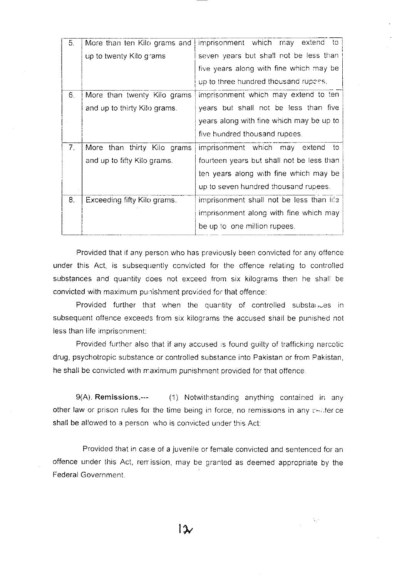| 5.             | More than ten Kilo grams and | imprisonment which<br>extend to<br>may.   |
|----------------|------------------------------|-------------------------------------------|
|                | up to twenty Kilo grams      | seven years but shall not be less than    |
|                |                              | five years along with fine which may be   |
|                |                              | up to three hundred thousand rupess.      |
| 6.             | More than twenty Kilo grams  | imprisonment which may extend to ten      |
|                | and up to thirty Kilo grams. | years but shall not be less than five     |
|                |                              | years along with fine which may be up to  |
|                |                              | five hundred thousand rupees.             |
| 7 <sub>1</sub> | More than thirty Kilo grams  | imprisonment which may extend<br>- to     |
|                | and up to fifty Kilo grams.  | fourteen years but shall not be less than |
|                |                              | ten years along with fine which may be    |
|                |                              | up to seven hundred thousand rupees.      |
| 8.             | Exceeding fifty Kilo grams.  | imprisonment shall not be less than life  |
|                |                              | imprisonment along with fine which may    |
|                |                              | be up to one million rupees.              |

Provided that if any person who has previously been convicted for any offence under this Act, is subsequently convicted for the offence relating to controlled substances and quantity does not exceed from six kilograms then he shall be convicted with maximum punishment provided for that offence:

Provided further that when the quantity of controlled substances in subsequent offence exceeds from six kilograms the accused shall be punished not less than life imprisonrnent.

Provided further also that if any accused is found guilty of trafficking narcotic drug, psychotropic substance or controlled substance into Pakistan or from Pakistan, he shall be convicted with maximum punishment provided for that offence.

9(A). Remissions.--- (1) Notwithstanding anything contained in any other law or prison rules for the time being in force, no remissions in any  $\epsilon$ -atter ce shall be allowed to a person who is convicted under this Act:

Provided that in case of a juvenile or female convicted and sentenced for an offence under this Act, ren ission, may be granted as deemed appropriate by the Federal Government.

 $\tau_{\rm{max}}$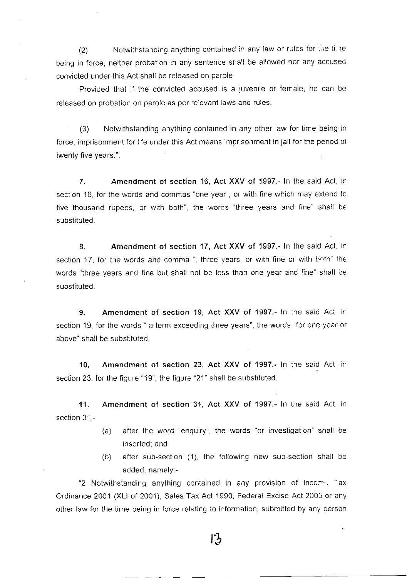(2) Notwithstanding anything contained in any law or rules for the time being in force, neither probation in any sentence shall be allowed nor any accused convicted under this Act shall be released on parole

Provided that if the convicted accused is a juvenile or female, he can be released on probation on parole as per relevant laws and rules.

(3) Notwithstanding anything contained in any other law for time being in force, imprisonment for life under this Act means imprisonment in jail for the period of twenty five years.".

7. Amendment of section 16, Act XXV of 1997.- In the said Act, in section 16, for the words and commas "one year , or with fine which may extend to five thousand rupees, or with both", the words "three years and fine" shall be substituted.

8. Amendment of section 17, Act XXV of 1997.- ln the said Act, in section 17, for the words and comma", three years, or with fine or with hoth" the words "three years and fine but shall not be less than one year and fine" shall be substituted.

9. Amendment of section 19, Act XXV of 1997.- ln the said Act, in section 19, for the words " a term exceeding three years", the words "for one year or above" shall be substituted.

10. Amendment of section 23, Act XXV of 1997.- ln the said Act, in section 23, for the figure "19", the figure "21" shall be substituted.

11. Amendment of section 31, Act XXV of 1997.- In the said Act, in section  $31 -$ 

- (a) after the word "enquiry", the words "or investigation" shall be inserted, and
- (b) after sub-section (1), the following new sub-section shall be added, namely;-

"2 Notwithstanding anything contained in any provision of Inco, $-$ - Tax Ordinance 2001 (XLl of 2001), Sales Tax Act 1990, Federal Excise Act 2005 or any other law for the time being in force relating to information submitted by any person

 $13$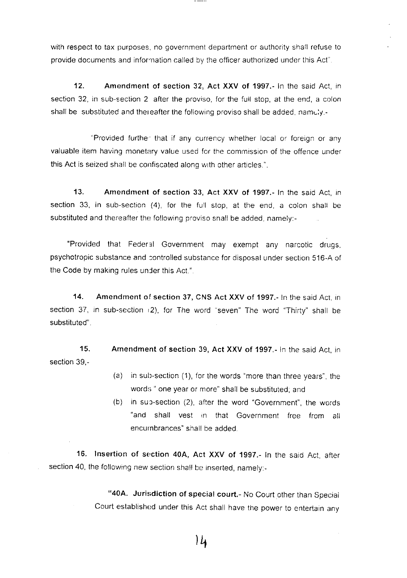with respect to tax purposes, no government department or authority shail refuse to provide documents and information called by the offrcer authorized under this Act".

12. Amendment of section 32, Act XXV of 1997.- In the said Act, in section 32, in sub-section 2 after the proviso, for the full stop, at the end, a colon shall be substituted and thereafter the following proviso shall be added, namely.-

"Provided further that if any currency whether local or foreign or any valuable item having monetary value used for the commission of the offence under this Act is seized shall be confiscated along with other articles.".

13. Amendment of section 33, Act XXV of 1997.- ln the said Act, in section 33, in sub-section (4), for the fult stop, at the end, a colon shalt be substituted and thereafter the following proviso snall be added, namely:-

"Provided that Federal Government may exempt any narcotic drugs, psychotropic substance and controlled substance for disposal under section 516-A of the Code by making rules under this Act.".

14. Amcndment of section 37, CNS Act XXV of 1997.- ln the said Act, in section 37, in sub-section (2), for The word "seven" The word "Thirty" shall be substituted"

15. section 39,- Amendment of section 39, Act XXV of 1997.- ln the said Act. in

- $(a)$  in sub-section  $(1)$ , for the words "more than three years", the words " one year or more" shall be substituted; and
- (b) in sup-section (2), after the word "Government", the words "and shall vest in that Government free from all encurnbrances" shall be added

16. Insertion of section 40A, Act XXV of 1997.- In the said Act, after section 40, the following new section shall be inserted, namely:-

> "40A. Jurisdiction of special court.- No Court other than Special Court established under this Act shall have the power to entertain any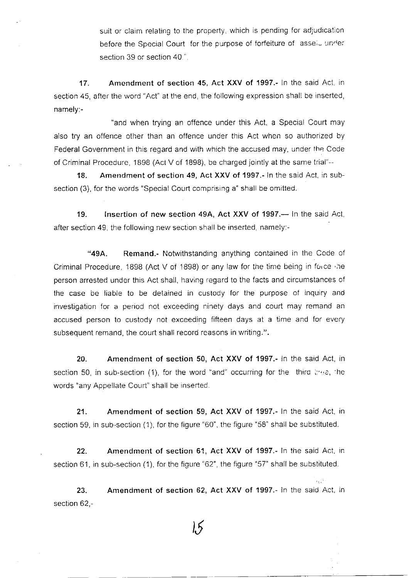suit or claim relating to the property, which is pending for adjudication before the Special Court for the purpose of forfeiture of lasseiu under section 39 or section 40.".

17. Amendment of section 45, Act XXV of 1997.- ln the said Act, in section 45, after the word "Act" at the end, the following expression shall be inserted, namely:-

"and when trying an offence under this Act, a Special Court may also try an offence other than an offence under this Act when so authorized by Federal Government in this regard and with which the accused may, under the Code of Criminal Procedure, 1 898 (Act V of 1898), be charged lointly at the same trial'--

18. Amendment of section 49, Act XXV of 1997.- In the said Act, in subsection (3), for the words "Special Court comprising a" shall be omitted.

19. Insertion of new section 49A, Act XXV of 1997.— In the said Act, after section 49, the following new section shall be inserted, namely:-

"49A. Remand.- Notwithstanding anything contained in the Code of Criminal Procedure, 1898 (Act V of 1898) or any law for the time being in force the person arrested under this Act shall, having regard to the facts and circumstances of the case be liable to be detained in custody for the purpose of inquiry and investigation for a period not exceeding ninety days and court may remand an accused person to custody not exceeding fifteen days at a time and for every subsequent remand, the court shall record reasons in writing.".

20. Amendment of section 50, Act XXV of 1997.- ln the said Act, in section 50, in sub-section (1), for the word "and" occurring for the third  $\forall y \in \mathcal{Y}$ , the words "any Appellate Court' shall be inserted

21. Amendment of section 59, Act XXV of 1997.- ln the said Act, in section 59, in sub-section (1), for the figure "60", the figure "58" shall be substituted.

22. Amendment of section 61, Act XXV of 1997.- In the said Act, in section 61, in sub-section (1), for the figure "62", the figure "57" shall be substituted.

23. section 62,- Amendment of section 52, Act XXV of 1997.- ln the said Act, in

 $\alpha_{\rm C}$  :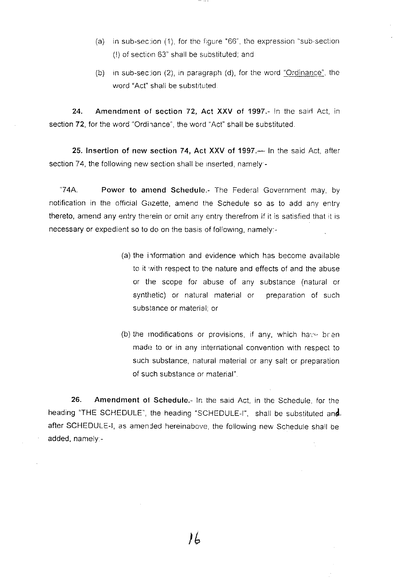- (a) in sub-section (1), for the figure "66", the expression "sub-section  $(!)$  of section 63" shall be substituted; and
- (b) in sub-section (2), in paragraph (d), for the word "Ordinance", the word "Act" shall be substituted.

24. Amendment of section 72, Act XXV of 1997.- In the said Act, in section 72, for the word "Ordinance", the word "Act" shall be substituted.

25. Insertion of new section 74, Act XXV of 1997.— In the said Act, after section 74, the following new section shall be inserted, namely -

"74A. Power to anrend Schedule.- The Federal Government may, by notification in the official Gazette, amend the Schedule so as to add any entry thereto, amend any entry therein or omit any entry therefrom if it is satisfied that it is necessary or expedient so to do on the basis of following, namely:-

- (a) the information and evidence which has become available to it with respect to the nature and effects of and the abuse or the scope for abuse of any substance (natural or synthetic) or natural material or preparation of such substance or material; or
- (b) the modifications or provisions, if any, which have been made to or in any international convention with respect to such substance, natural material or any salt or preparation of such substance or material".

26. Amendment of Schedule.- In the said Act, in the Schedule, for the heading "THE SCHEDULE", the heading "SCHEDULE-I", shall be substituted and. after SCHEDULE-I, as amended hereinabove, the following new Schedule shall be added, namely.-

IL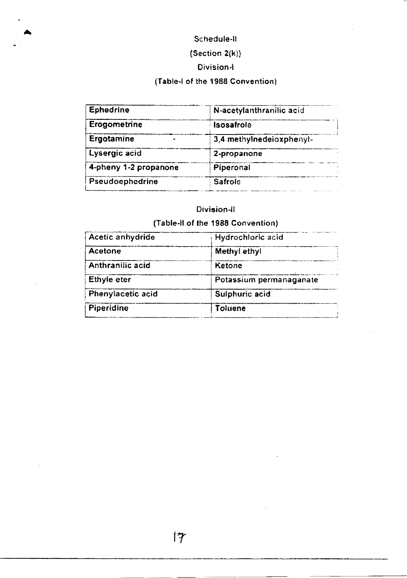# Schedule-II

# ${Section 2(k)}$

## Division-I

# (Table-I of the 1988 Convention)

| <b>Ephedrine</b>      | N-acetylanthranilic acid |
|-----------------------|--------------------------|
| Erogometrine          | Isosafrole               |
| Ergotamine            | 3,4 methylnedeloxphenyl- |
| Lysergic acid         | 2-propanone              |
| 4-pheny 1-2 propanone | Piperonal                |
| Pseudoephedrine       | Safrole                  |

#### Division-II

# (Table-II of the 1988 Convention)

| Hydrochloric acid       |
|-------------------------|
| Methyl ethyl            |
| Ketone                  |
| Potassium permanaganate |
| Sulphuric acid          |
| <b>Toluene</b>          |
|                         |